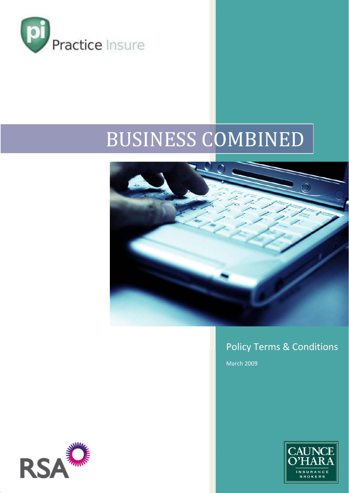

# BUSINESS COMBINED



### Policy Terms & Conditions

March 2009



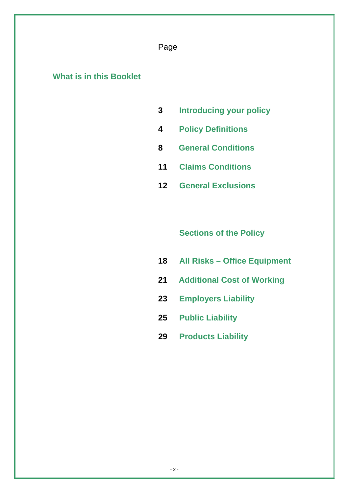#### Page

### **What is in this Booklet**

- **3 Introducing your policy**
- **4 Policy Definitions**
- **8 General Conditions**
- **11 Claims Conditions**
- **12 General Exclusions**

### **Sections of the Policy**

- **18 All Risks Office Equipment**
- **21 Additional Cost of Working**
- **23 Employers Liability**
- **25 Public Liability**
- **29 Products Liability**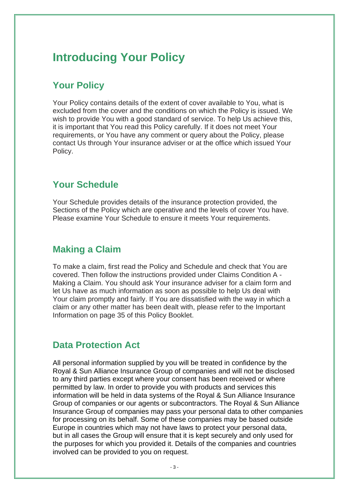# **Introducing Your Policy**

### **Your Policy**

Your Policy contains details of the extent of cover available to You, what is excluded from the cover and the conditions on which the Policy is issued. We wish to provide You with a good standard of service. To help Us achieve this, it is important that You read this Policy carefully. If it does not meet Your requirements, or You have any comment or query about the Policy, please contact Us through Your insurance adviser or at the office which issued Your Policy.

### **Your Schedule**

Your Schedule provides details of the insurance protection provided, the Sections of the Policy which are operative and the levels of cover You have. Please examine Your Schedule to ensure it meets Your requirements.

### **Making a Claim**

To make a claim, first read the Policy and Schedule and check that You are covered. Then follow the instructions provided under Claims Condition A - Making a Claim. You should ask Your insurance adviser for a claim form and let Us have as much information as soon as possible to help Us deal with Your claim promptly and fairly. If You are dissatisfied with the way in which a claim or any other matter has been dealt with, please refer to the Important Information on page 35 of this Policy Booklet.

### **Data Protection Act**

All personal information supplied by you will be treated in confidence by the Royal & Sun Alliance Insurance Group of companies and will not be disclosed to any third parties except where your consent has been received or where permitted by law. In order to provide you with products and services this information will be held in data systems of the Royal & Sun Alliance Insurance Group of companies or our agents or subcontractors. The Royal & Sun Alliance Insurance Group of companies may pass your personal data to other companies for processing on its behalf. Some of these companies may be based outside Europe in countries which may not have laws to protect your personal data, but in all cases the Group will ensure that it is kept securely and only used for the purposes for which you provided it. Details of the companies and countries involved can be provided to you on request.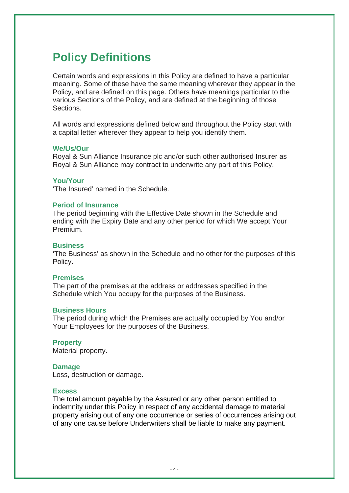# **Policy Definitions**

Certain words and expressions in this Policy are defined to have a particular meaning. Some of these have the same meaning wherever they appear in the Policy, and are defined on this page. Others have meanings particular to the various Sections of the Policy, and are defined at the beginning of those Sections.

All words and expressions defined below and throughout the Policy start with a capital letter wherever they appear to help you identify them.

#### **We/Us/Our**

Royal & Sun Alliance Insurance plc and/or such other authorised Insurer as Royal & Sun Alliance may contract to underwrite any part of this Policy.

#### **You/Your**

'The Insured' named in the Schedule.

#### **Period of Insurance**

The period beginning with the Effective Date shown in the Schedule and ending with the Expiry Date and any other period for which We accept Your Premium.

#### **Business**

'The Business' as shown in the Schedule and no other for the purposes of this Policy.

#### **Premises**

The part of the premises at the address or addresses specified in the Schedule which You occupy for the purposes of the Business.

#### **Business Hours**

The period during which the Premises are actually occupied by You and/or Your Employees for the purposes of the Business.

**Property**  Material property.

#### **Damage**

Loss, destruction or damage.

#### **Excess**

The total amount payable by the Assured or any other person entitled to indemnity under this Policy in respect of any accidental damage to material property arising out of any one occurrence or series of occurrences arising out of any one cause before Underwriters shall be liable to make any payment.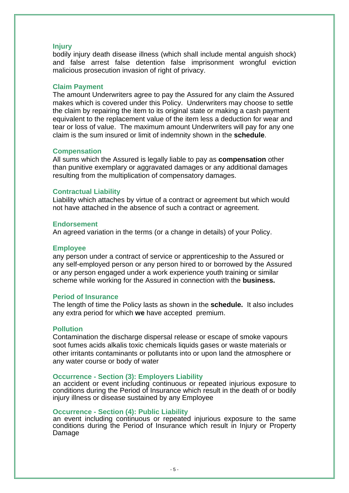#### **Injury**

bodily injury death disease illness (which shall include mental anguish shock) and false arrest false detention false imprisonment wrongful eviction malicious prosecution invasion of right of privacy.

#### **Claim Payment**

The amount Underwriters agree to pay the Assured for any claim the Assured makes which is covered under this Policy. Underwriters may choose to settle the claim by repairing the item to its original state or making a cash payment equivalent to the replacement value of the item less a deduction for wear and tear or loss of value. The maximum amount Underwriters will pay for any one claim is the sum insured or limit of indemnity shown in the **schedule**.

#### **Compensation**

All sums which the Assured is legally liable to pay as **compensation** other than punitive exemplary or aggravated damages or any additional damages resulting from the multiplication of compensatory damages.

#### **Contractual Liability**

Liability which attaches by virtue of a contract or agreement but which would not have attached in the absence of such a contract or agreement.

#### **Endorsement**

An agreed variation in the terms (or a change in details) of your Policy.

#### **Employee**

any person under a contract of service or apprenticeship to the Assured or any self-employed person or any person hired to or borrowed by the Assured or any person engaged under a work experience youth training or similar scheme while working for the Assured in connection with the **business.** 

#### **Period of Insurance**

The length of time the Policy lasts as shown in the **schedule.** It also includes any extra period for which **we** have accepted premium.

#### **Pollution**

Contamination the discharge dispersal release or escape of smoke vapours soot fumes acids alkalis toxic chemicals liquids gases or waste materials or other irritants contaminants or pollutants into or upon land the atmosphere or any water course or body of water

#### **Occurrence - Section (3): Employers Liability**

an accident or event including continuous or repeated injurious exposure to conditions during the Period of Insurance which result in the death of or bodily injury illness or disease sustained by any Employee

#### **Occurrence - Section (4): Public Liability**

an event including continuous or repeated injurious exposure to the same conditions during the Period of Insurance which result in Injury or Property Damage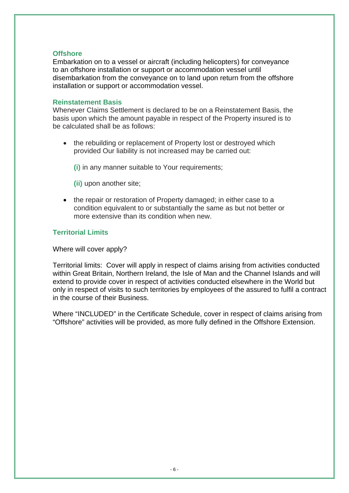#### **Offshore**

Embarkation on to a vessel or aircraft (including helicopters) for conveyance to an offshore installation or support or accommodation vessel until disembarkation from the conveyance on to land upon return from the offshore installation or support or accommodation vessel.

#### **Reinstatement Basis**

Whenever Claims Settlement is declared to be on a Reinstatement Basis, the basis upon which the amount payable in respect of the Property insured is to be calculated shall be as follows:

the rebuilding or replacement of Property lost or destroyed which provided Our liability is not increased may be carried out:

**(i)** in any manner suitable to Your requirements;

- **(ii)** upon another site;
- the repair or restoration of Property damaged; in either case to a condition equivalent to or substantially the same as but not better or more extensive than its condition when new.

#### **Territorial Limits**

Where will cover apply?

Territorial limits: Cover will apply in respect of claims arising from activities conducted within Great Britain, Northern Ireland, the Isle of Man and the Channel Islands and will extend to provide cover in respect of activities conducted elsewhere in the World but only in respect of visits to such territories by employees of the assured to fulfil a contract in the course of their Business.

Where "INCLUDED" in the Certificate Schedule, cover in respect of claims arising from "Offshore" activities will be provided, as more fully defined in the Offshore Extension.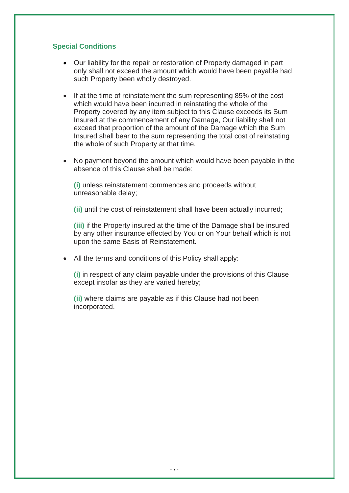#### **Special Conditions**

- Our liability for the repair or restoration of Property damaged in part only shall not exceed the amount which would have been payable had such Property been wholly destroyed.
- If at the time of reinstatement the sum representing 85% of the cost which would have been incurred in reinstating the whole of the Property covered by any item subject to this Clause exceeds its Sum Insured at the commencement of any Damage, Our liability shall not exceed that proportion of the amount of the Damage which the Sum Insured shall bear to the sum representing the total cost of reinstating the whole of such Property at that time.
- No payment beyond the amount which would have been payable in the absence of this Clause shall be made:

**(i)** unless reinstatement commences and proceeds without unreasonable delay;

**(ii)** until the cost of reinstatement shall have been actually incurred;

**(iii)** if the Property insured at the time of the Damage shall be insured by any other insurance effected by You or on Your behalf which is not upon the same Basis of Reinstatement.

• All the terms and conditions of this Policy shall apply:

**(i)** in respect of any claim payable under the provisions of this Clause except insofar as they are varied hereby;

**(ii)** where claims are payable as if this Clause had not been incorporated.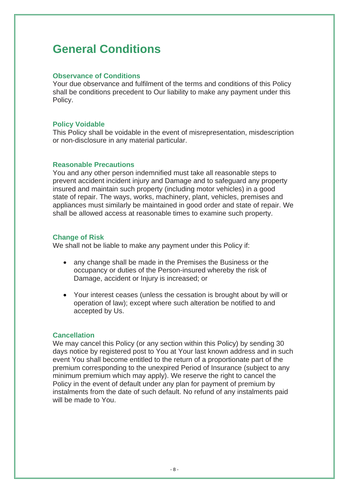# **General Conditions**

#### **Observance of Conditions**

Your due observance and fulfilment of the terms and conditions of this Policy shall be conditions precedent to Our liability to make any payment under this Policy.

#### **Policy Voidable**

This Policy shall be voidable in the event of misrepresentation, misdescription or non-disclosure in any material particular.

#### **Reasonable Precautions**

You and any other person indemnified must take all reasonable steps to prevent accident incident injury and Damage and to safeguard any property insured and maintain such property (including motor vehicles) in a good state of repair. The ways, works, machinery, plant, vehicles, premises and appliances must similarly be maintained in good order and state of repair. We shall be allowed access at reasonable times to examine such property.

#### **Change of Risk**

We shall not be liable to make any payment under this Policy if:

- any change shall be made in the Premises the Business or the occupancy or duties of the Person-insured whereby the risk of Damage, accident or Injury is increased; or
- Your interest ceases (unless the cessation is brought about by will or operation of law); except where such alteration be notified to and accepted by Us.

#### **Cancellation**

We may cancel this Policy (or any section within this Policy) by sending 30 days notice by registered post to You at Your last known address and in such event You shall become entitled to the return of a proportionate part of the premium corresponding to the unexpired Period of Insurance (subject to any minimum premium which may apply). We reserve the right to cancel the Policy in the event of default under any plan for payment of premium by instalments from the date of such default. No refund of any instalments paid will be made to You.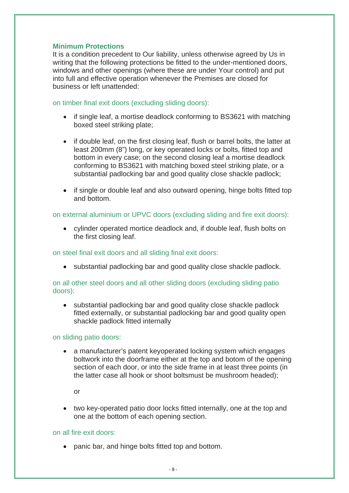#### **Minimum Protections**

It is a condition precedent to Our liability, unless otherwise agreed by Us in writing that the following protections be fitted to the under-mentioned doors, windows and other openings (where these are under Your control) and put into full and effective operation whenever the Premises are closed for business or left unattended:

#### on timber final exit doors (excluding sliding doors):

- if single leaf, a mortise deadlock conforming to BS3621 with matching boxed steel striking plate;
- if double leaf, on the first closing leaf, flush or barrel bolts, the latter at least 200mm (8") long, or key operated locks or bolts, fitted top and bottom in every case; on the second closing leaf a mortise deadlock conforming to BS3621 with matching boxed steel striking plate, or a substantial padlocking bar and good quality close shackle padlock;
- if single or double leaf and also outward opening, hinge bolts fitted top and bottom.

on external aluminium or UPVC doors (excluding sliding and fire exit doors):

• cylinder operated mortice deadlock and, if double leaf, flush bolts on the first closing leaf.

on steel final exit doors and all sliding final exit doors:

• substantial padlocking bar and good quality close shackle padlock.

on all other steel doors and all other sliding doors (excluding sliding patio doors):

• substantial padlocking bar and good quality close shackle padlock fitted externally, or substantial padlocking bar and good quality open shackle padlock fitted internally

on sliding patio doors:

• a manufacturer's patent keyoperated locking system which engages boltwork into the doorframe either at the top and botom of the opening section of each door, or into the side frame in at least three points (in the latter case all hook or shoot boltsmust be mushroom headed);

or

• two key-operated patio door locks fitted internally, one at the top and one at the bottom of each opening section.

#### on all fire exit doors:

• panic bar, and hinge bolts fitted top and bottom.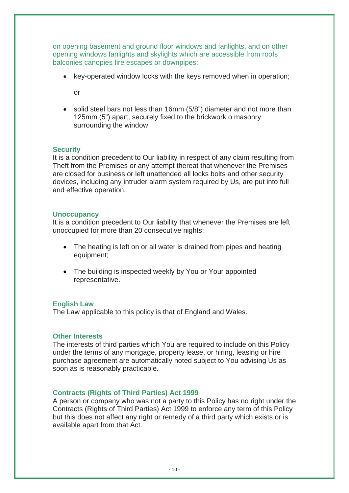on opening basement and ground floor windows and fanlights, and on other opening windows fanlights and skylights which are accessible from roofs balconies canopies fire escapes or downpipes:

• key-operated window locks with the keys removed when in operation;

or

• solid steel bars not less than 16mm (5/8") diameter and not more than 125mm (5") apart, securely fixed to the brickwork o masonry surrounding the window.

#### **Security**

It is a condition precedent to Our liability in respect of any claim resulting from Theft from the Premises or any attempt thereat that whenever the Premises are closed for business or left unattended all locks bolts and other security devices, including any intruder alarm system required by Us, are put into full and effective operation.

#### **Unoccupancy**

It is a condition precedent to Our liability that whenever the Premises are left unoccupied for more than 20 consecutive nights:

- The heating is left on or all water is drained from pipes and heating equipment;
- The building is inspected weekly by You or Your appointed representative.

#### **English Law**

The Law applicable to this policy is that of England and Wales.

#### **Other Interests**

The interests of third parties which You are required to include on this Policy under the terms of any mortgage, property lease, or hiring, leasing or hire purchase agreement are automatically noted subject to You advising Us as soon as is reasonably practicable.

#### **Contracts (Rights of Third Parties) Act 1999**

A person or company who was not a party to this Policy has no right under the Contracts (Rights of Third Parties) Act 1999 to enforce any term of this Policy but this does not affect any right or remedy of a third party which exists or is available apart from that Act.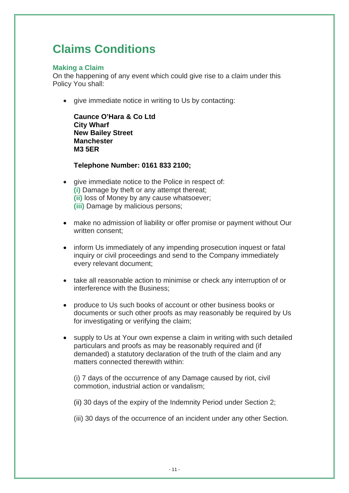# **Claims Conditions**

#### **Making a Claim**

On the happening of any event which could give rise to a claim under this Policy You shall:

• give immediate notice in writing to Us by contacting:

**Caunce O'Hara & Co Ltd City Wharf New Bailey Street Manchester M3 5ER** 

**Telephone Number: 0161 833 2100;** 

- give immediate notice to the Police in respect of: **(i)** Damage by theft or any attempt thereat; **(ii)** loss of Money by any cause whatsoever; **(iii)** Damage by malicious persons;
- make no admission of liability or offer promise or payment without Our written consent;
- inform Us immediately of any impending prosecution inquest or fatal inquiry or civil proceedings and send to the Company immediately every relevant document;
- take all reasonable action to minimise or check any interruption of or interference with the Business;
- produce to Us such books of account or other business books or documents or such other proofs as may reasonably be required by Us for investigating or verifying the claim;
- supply to Us at Your own expense a claim in writing with such detailed particulars and proofs as may be reasonably required and (if demanded) a statutory declaration of the truth of the claim and any matters connected therewith within:

(i) 7 days of the occurrence of any Damage caused by riot, civil commotion, industrial action or vandalism;

- (ii) 30 days of the expiry of the Indemnity Period under Section 2;
- (iii) 30 days of the occurrence of an incident under any other Section.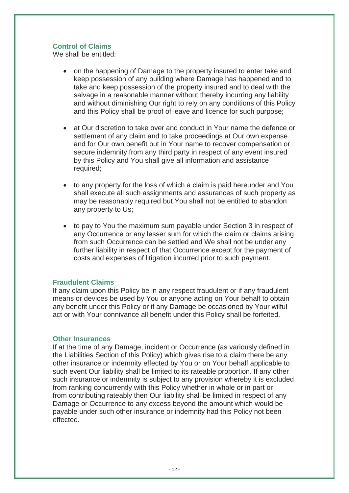#### **Control of Claims**

We shall be entitled:

- on the happening of Damage to the property insured to enter take and keep possession of any building where Damage has happened and to take and keep possession of the property insured and to deal with the salvage in a reasonable manner without thereby incurring any liability and without diminishing Our right to rely on any conditions of this Policy and this Policy shall be proof of leave and licence for such purpose;
- at Our discretion to take over and conduct in Your name the defence or settlement of any claim and to take proceedings at Our own expense and for Our own benefit but in Your name to recover compensation or secure indemnity from any third party in respect of any event insured by this Policy and You shall give all information and assistance required;
- to any property for the loss of which a claim is paid hereunder and You shall execute all such assignments and assurances of such property as may be reasonably required but You shall not be entitled to abandon any property to Us;
- to pay to You the maximum sum payable under Section 3 in respect of any Occurrence or any lesser sum for which the claim or claims arising from such Occurrence can be settled and We shall not be under any further liability in respect of that Occurrence except for the payment of costs and expenses of litigation incurred prior to such payment.

#### **Fraudulent Claims**

If any claim upon this Policy be in any respect fraudulent or if any fraudulent means or devices be used by You or anyone acting on Your behalf to obtain any benefit under this Policy or if any Damage be occasioned by Your wilful act or with Your connivance all benefit under this Policy shall be forfeited.

#### **Other Insurances**

If at the time of any Damage, incident or Occurrence (as variously defined in the Liabilities Section of this Policy) which gives rise to a claim there be any other insurance or indemnity effected by You or on Your behalf applicable to such event Our liability shall be limited to its rateable proportion. If any other such insurance or indemnity is subject to any provision whereby it is excluded from ranking concurrently with this Policy whether in whole or in part or from contributing rateably then Our liability shall be limited in respect of any Damage or Occurrence to any excess beyond the amount which would be payable under such other insurance or indemnity had this Policy not been effected.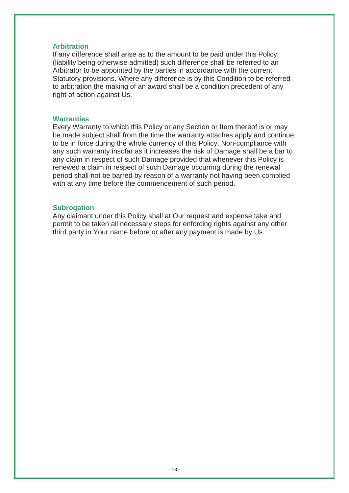#### **Arbitration**

If any difference shall arise as to the amount to be paid under this Policy (liability being otherwise admitted) such difference shall be referred to an Arbitrator to be appointed by the parties in accordance with the current Statutory provisions. Where any difference is by this Condition to be referred to arbitration the making of an award shall be a condition precedent of any right of action against Us.

#### **Warranties**

Every Warranty to which this Policy or any Section or Item thereof is or may be made subject shall from the time the warranty attaches apply and continue to be in force during the whole currency of this Policy. Non-compliance with any such warranty insofar as it increases the risk of Damage shall be a bar to any claim in respect of such Damage provided that whenever this Policy is renewed a claim in respect of such Damage occurring during the renewal period shall not be barred by reason of a warranty not having been complied with at any time before the commencement of such period.

#### **Subrogation**

Any claimant under this Policy shall at Our request and expense take and permit to be taken all necessary steps for enforcing rights against any other third party in Your name before or after any payment is made by Us.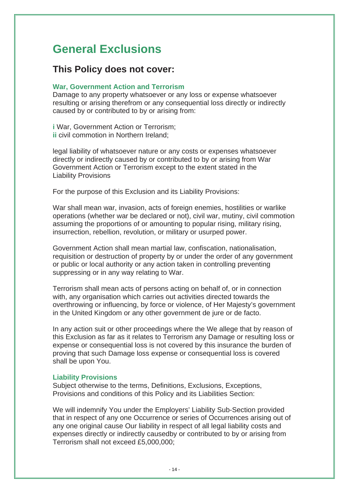# **General Exclusions**

### **This Policy does not cover:**

#### **War, Government Action and Terrorism**

Damage to any property whatsoever or any loss or expense whatsoever resulting or arising therefrom or any consequential loss directly or indirectly caused by or contributed to by or arising from:

**i** War, Government Action or Terrorism; **ii** civil commotion in Northern Ireland;

legal liability of whatsoever nature or any costs or expenses whatsoever directly or indirectly caused by or contributed to by or arising from War Government Action or Terrorism except to the extent stated in the Liability Provisions

For the purpose of this Exclusion and its Liability Provisions:

War shall mean war, invasion, acts of foreign enemies, hostilities or warlike operations (whether war be declared or not), civil war, mutiny, civil commotion assuming the proportions of or amounting to popular rising, military rising, insurrection, rebellion, revolution, or military or usurped power.

Government Action shall mean martial law, confiscation, nationalisation, requisition or destruction of property by or under the order of any government or public or local authority or any action taken in controlling preventing suppressing or in any way relating to War.

Terrorism shall mean acts of persons acting on behalf of, or in connection with, any organisation which carries out activities directed towards the overthrowing or influencing, by force or violence, of Her Majesty's government in the United Kingdom or any other government de jure or de facto.

In any action suit or other proceedings where the We allege that by reason of this Exclusion as far as it relates to Terrorism any Damage or resulting loss or expense or consequential loss is not covered by this insurance the burden of proving that such Damage loss expense or consequential loss is covered shall be upon You.

#### **Liability Provisions**

Subject otherwise to the terms, Definitions, Exclusions, Exceptions, Provisions and conditions of this Policy and its Liabilities Section:

We will indemnify You under the Employers' Liability Sub-Section provided that in respect of any one Occurrence or series of Occurrences arising out of any one original cause Our liability in respect of all legal liability costs and expenses directly or indirectly causedby or contributed to by or arising from Terrorism shall not exceed £5,000,000;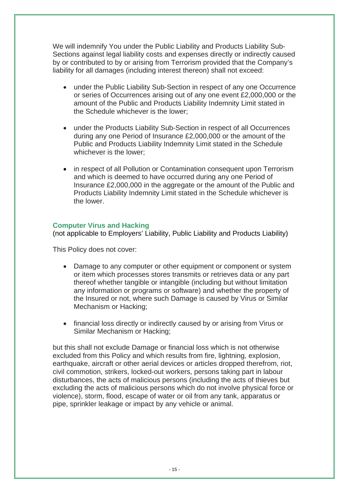We will indemnify You under the Public Liability and Products Liability Sub-Sections against legal liability costs and expenses directly or indirectly caused by or contributed to by or arising from Terrorism provided that the Company's liability for all damages (including interest thereon) shall not exceed:

- under the Public Liability Sub-Section in respect of any one Occurrence or series of Occurrences arising out of any one event £2,000,000 or the amount of the Public and Products Liability Indemnity Limit stated in the Schedule whichever is the lower;
- under the Products Liability Sub-Section in respect of all Occurrences during any one Period of Insurance £2,000,000 or the amount of the Public and Products Liability Indemnity Limit stated in the Schedule whichever is the lower;
- in respect of all Pollution or Contamination consequent upon Terrorism and which is deemed to have occurred during any one Period of Insurance £2,000,000 in the aggregate or the amount of the Public and Products Liability Indemnity Limit stated in the Schedule whichever is the lower.

#### **Computer Virus and Hacking**

(not applicable to Employers' Liability, Public Liability and Products Liability)

This Policy does not cover:

- Damage to any computer or other equipment or component or system or item which processes stores transmits or retrieves data or any part thereof whether tangible or intangible (including but without limitation any information or programs or software) and whether the property of the Insured or not, where such Damage is caused by Virus or Similar Mechanism or Hacking;
- financial loss directly or indirectly caused by or arising from Virus or Similar Mechanism or Hacking;

but this shall not exclude Damage or financial loss which is not otherwise excluded from this Policy and which results from fire, lightning, explosion, earthquake, aircraft or other aerial devices or articles dropped therefrom, riot, civil commotion, strikers, locked-out workers, persons taking part in labour disturbances, the acts of malicious persons (including the acts of thieves but excluding the acts of malicious persons which do not involve physical force or violence), storm, flood, escape of water or oil from any tank, apparatus or pipe, sprinkler leakage or impact by any vehicle or animal.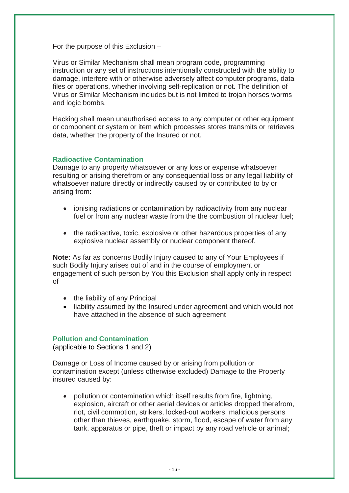For the purpose of this Exclusion –

Virus or Similar Mechanism shall mean program code, programming instruction or any set of instructions intentionally constructed with the ability to damage, interfere with or otherwise adversely affect computer programs, data files or operations, whether involving self-replication or not. The definition of Virus or Similar Mechanism includes but is not limited to trojan horses worms and logic bombs.

Hacking shall mean unauthorised access to any computer or other equipment or component or system or item which processes stores transmits or retrieves data, whether the property of the Insured or not.

#### **Radioactive Contamination**

Damage to any property whatsoever or any loss or expense whatsoever resulting or arising therefrom or any consequential loss or any legal liability of whatsoever nature directly or indirectly caused by or contributed to by or arising from:

- ionising radiations or contamination by radioactivity from any nuclear fuel or from any nuclear waste from the the combustion of nuclear fuel;
- the radioactive, toxic, explosive or other hazardous properties of any explosive nuclear assembly or nuclear component thereof.

**Note:** As far as concerns Bodily Injury caused to any of Your Employees if such Bodily Injury arises out of and in the course of employment or engagement of such person by You this Exclusion shall apply only in respect of

- the liability of any Principal
- liability assumed by the Insured under agreement and which would not have attached in the absence of such agreement

#### **Pollution and Contamination**

(applicable to Sections 1 and 2)

Damage or Loss of Income caused by or arising from pollution or contamination except (unless otherwise excluded) Damage to the Property insured caused by:

• pollution or contamination which itself results from fire, lightning, explosion, aircraft or other aerial devices or articles dropped therefrom, riot, civil commotion, strikers, locked-out workers, malicious persons other than thieves, earthquake, storm, flood, escape of water from any tank, apparatus or pipe, theft or impact by any road vehicle or animal;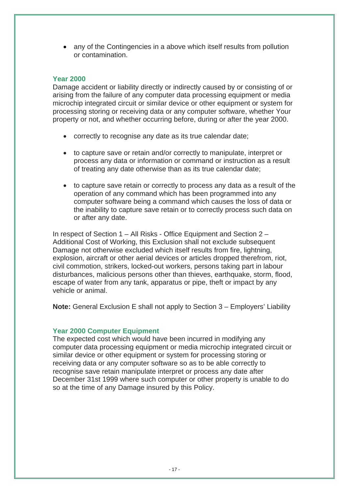• any of the Contingencies in a above which itself results from pollution or contamination.

#### **Year 2000**

Damage accident or liability directly or indirectly caused by or consisting of or arising from the failure of any computer data processing equipment or media microchip integrated circuit or similar device or other equipment or system for processing storing or receiving data or any computer software, whether Your property or not, and whether occurring before, during or after the year 2000.

- correctly to recognise any date as its true calendar date;
- to capture save or retain and/or correctly to manipulate, interpret or process any data or information or command or instruction as a result of treating any date otherwise than as its true calendar date;
- to capture save retain or correctly to process any data as a result of the operation of any command which has been programmed into any computer software being a command which causes the loss of data or the inability to capture save retain or to correctly process such data on or after any date.

In respect of Section 1 – All Risks - Office Equipment and Section 2 – Additional Cost of Working, this Exclusion shall not exclude subsequent Damage not otherwise excluded which itself results from fire, lightning, explosion, aircraft or other aerial devices or articles dropped therefrom, riot, civil commotion, strikers, locked-out workers, persons taking part in labour disturbances, malicious persons other than thieves, earthquake, storm, flood, escape of water from any tank, apparatus or pipe, theft or impact by any vehicle or animal.

**Note:** General Exclusion E shall not apply to Section 3 – Employers' Liability

#### **Year 2000 Computer Equipment**

The expected cost which would have been incurred in modifying any computer data processing equipment or media microchip integrated circuit or similar device or other equipment or system for processing storing or receiving data or any computer software so as to be able correctly to recognise save retain manipulate interpret or process any date after December 31st 1999 where such computer or other property is unable to do so at the time of any Damage insured by this Policy.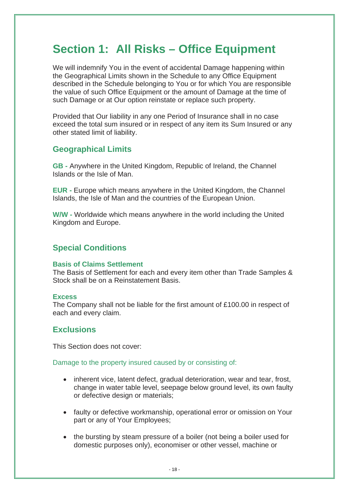# **Section 1: All Risks – Office Equipment**

We will indemnify You in the event of accidental Damage happening within the Geographical Limits shown in the Schedule to any Office Equipment described in the Schedule belonging to You or for which You are responsible the value of such Office Equipment or the amount of Damage at the time of such Damage or at Our option reinstate or replace such property.

Provided that Our liability in any one Period of Insurance shall in no case exceed the total sum insured or in respect of any item its Sum Insured or any other stated limit of liability.

#### **Geographical Limits**

**GB -** Anywhere in the United Kingdom, Republic of Ireland, the Channel Islands or the Isle of Man.

**EUR** - Europe which means anywhere in the United Kingdom, the Channel Islands, the Isle of Man and the countries of the European Union.

**W/W -** Worldwide which means anywhere in the world including the United Kingdom and Europe.

### **Special Conditions**

#### **Basis of Claims Settlement**

The Basis of Settlement for each and every item other than Trade Samples & Stock shall be on a Reinstatement Basis.

#### **Excess**

The Company shall not be liable for the first amount of £100.00 in respect of each and every claim.

#### **Exclusions**

This Section does not cover:

Damage to the property insured caused by or consisting of:

- inherent vice, latent defect, gradual deterioration, wear and tear, frost, change in water table level, seepage below ground level, its own faulty or defective design or materials:
- faulty or defective workmanship, operational error or omission on Your part or any of Your Employees;
- the bursting by steam pressure of a boiler (not being a boiler used for domestic purposes only), economiser or other vessel, machine or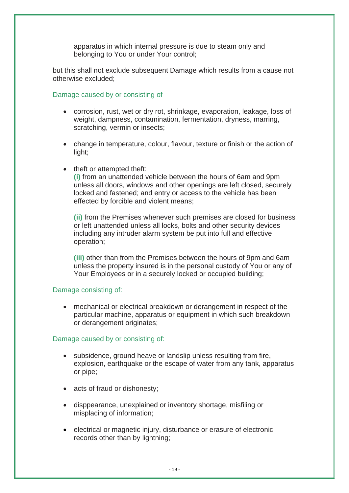apparatus in which internal pressure is due to steam only and belonging to You or under Your control;

but this shall not exclude subsequent Damage which results from a cause not otherwise excluded;

Damage caused by or consisting of

- corrosion, rust, wet or dry rot, shrinkage, evaporation, leakage, loss of weight, dampness, contamination, fermentation, dryness, marring, scratching, vermin or insects;
- change in temperature, colour, flavour, texture or finish or the action of light;
- theft or attempted theft:

**(i)** from an unattended vehicle between the hours of 6am and 9pm unless all doors, windows and other openings are left closed, securely locked and fastened; and entry or access to the vehicle has been effected by forcible and violent means;

**(ii)** from the Premises whenever such premises are closed for business or left unattended unless all locks, bolts and other security devices including any intruder alarm system be put into full and effective operation;

**(iii)** other than from the Premises between the hours of 9pm and 6am unless the property insured is in the personal custody of You or any of Your Employees or in a securely locked or occupied building;

#### Damage consisting of:

• mechanical or electrical breakdown or derangement in respect of the particular machine, apparatus or equipment in which such breakdown or derangement originates;

#### Damage caused by or consisting of:

- subsidence, ground heave or landslip unless resulting from fire, explosion, earthquake or the escape of water from any tank, apparatus or pipe;
- acts of fraud or dishonesty:
- disppearance, unexplained or inventory shortage, misfiling or misplacing of information;
- electrical or magnetic injury, disturbance or erasure of electronic records other than by lightning;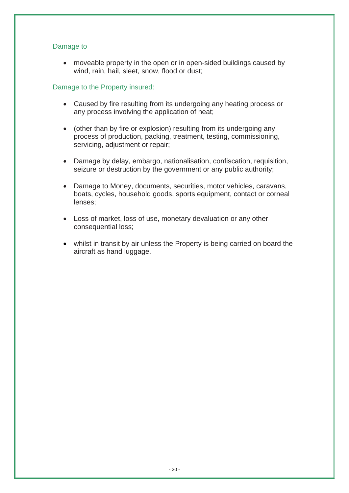#### Damage to

• moveable property in the open or in open-sided buildings caused by wind, rain, hail, sleet, snow, flood or dust;

#### Damage to the Property insured:

- Caused by fire resulting from its undergoing any heating process or any process involving the application of heat;
- (other than by fire or explosion) resulting from its undergoing any process of production, packing, treatment, testing, commissioning, servicing, adjustment or repair;
- Damage by delay, embargo, nationalisation, confiscation, requisition, seizure or destruction by the government or any public authority;
- Damage to Money, documents, securities, motor vehicles, caravans, boats, cycles, household goods, sports equipment, contact or corneal lenses;
- Loss of market, loss of use, monetary devaluation or any other consequential loss;
- whilst in transit by air unless the Property is being carried on board the aircraft as hand luggage.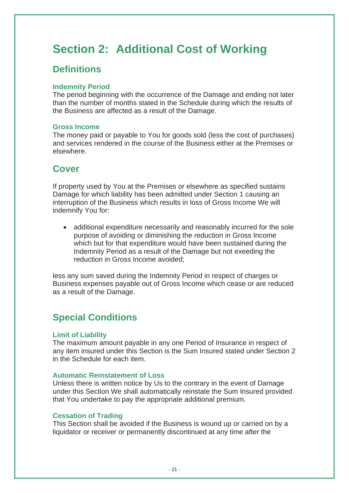# **Section 2: Additional Cost of Working**

### **Definitions**

#### **Indemnity Period**

The period beginning with the occurrence of the Damage and ending not later than the number of months stated in the Schedule during which the results of the Business are affected as a result of the Damage.

#### **Gross Income**

The money paid or payable to You for goods sold (less the cost of purchases) and services rendered in the course of the Business either at the Premises or elsewhere.

### **Cover**

If property used by You at the Premises or elsewhere as specified sustains Damage for which liability has been admitted under Section 1 causing an interruption of the Business which results in loss of Gross Income We will indemnify You for:

• additional expenditure necessarily and reasonably incurred for the sole purpose of avoiding or diminishing the reduction in Gross Income which but for that expenditure would have been sustained during the Indemnity Period as a result of the Damage but not exeeding the reduction in Gross Income avoided;

less any sum saved during the Indemnity Period in respect of charges or Business expenses payable out of Gross Income which cease or are reduced as a result of the Damage.

### **Special Conditions**

#### **Limit of Liability**

The maximum amount payable in any one Period of Insurance in respect of any item insured under this Section is the Sum Insured stated under Section 2 in the Schedule for each item.

#### **Automatic Reinstatement of Loss**

Unless there is written notice by Us to the contrary in the event of Damage under this Section We shall automatically reinstate the Sum Insured provided that You undertake to pay the appropriate additional premium.

#### **Cessation of Trading**

This Section shall be avoided if the Business is wound up or carried on by a liquidator or receiver or permanently discontinued at any time after the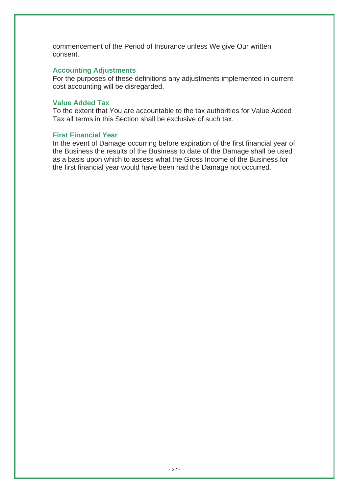commencement of the Period of Insurance unless We give Our written consent.

#### **Accounting Adjustments**

For the purposes of these definitions any adjustments implemented in current cost accounting will be disregarded.

#### **Value Added Tax**

To the extent that You are accountable to the tax authorities for Value Added Tax all terms in this Section shall be exclusive of such tax.

#### **First Financial Year**

In the event of Damage occurring before expiration of the first financial year of the Business the results of the Business to date of the Damage shall be used as a basis upon which to assess what the Gross Income of the Business for the first financial year would have been had the Damage not occurred.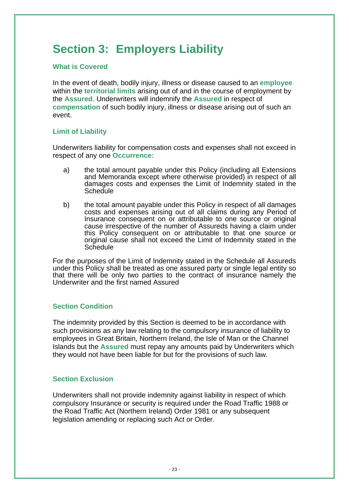# **Section 3: Employers Liability**

#### **What is Covered**

In the event of death, bodily injury, illness or disease caused to an **employee** within the **territorial limits** arising out of and in the course of employment by the **Assured**, Underwriters will indemnify the **Assured** in respect of **compensation** of such bodily injury, illness or disease arising out of such an event.

#### **Limit of Liability**

Underwriters liability for compensation costs and expenses shall not exceed in respect of any one **Occurrence:**

- a) the total amount payable under this Policy (including all Extensions and Memoranda except where otherwise provided) in respect of all damages costs and expenses the Limit of Indemnity stated in the **Schedule**
- b) the total amount payable under this Policy in respect of all damages costs and expenses arising out of all claims during any Period of Insurance consequent on or attributable to one source or original cause irrespective of the number of Assureds having a claim under this Policy consequent on or attributable to that one source or original cause shall not exceed the Limit of Indemnity stated in the **Schedule**

For the purposes of the Limit of Indemnity stated in the Schedule all Assureds under this Policy shall be treated as one assured party or single legal entity so that there will be only two parties to the contract of insurance namely the Underwriter and the first named Assured

#### **Section Condition**

The indemnity provided by this Section is deemed to be in accordance with such provisions as any law relating to the compulsory insurance of liability to employees in Great Britain, Northern Ireland, the Isle of Man or the Channel Islands but the **Assured** must repay any amounts paid by Underwriters which they would not have been liable for but for the provisions of such law.

#### **Section Exclusion**

Underwriters shall not provide indemnity against liability in respect of which compulsory Insurance or security is required under the Road Traffic 1988 or the Road Traffic Act (Northern Ireland) Order 1981 or any subsequent legislation amending or replacing such Act or Order.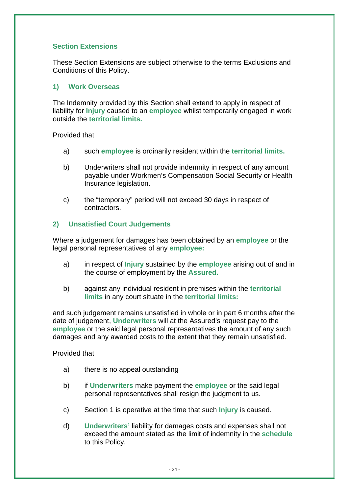#### **Section Extensions**

These Section Extensions are subject otherwise to the terms Exclusions and Conditions of this Policy.

#### **1) Work Overseas**

The Indemnity provided by this Section shall extend to apply in respect of liability for **Injury** caused to an **employee** whilst temporarily engaged in work outside the **territorial limits.**

#### Provided that

- a) such **employee** is ordinarily resident within the **territorial limits.**
- b) Underwriters shall not provide indemnity in respect of any amount payable under Workmen's Compensation Social Security or Health Insurance legislation.
- c) the "temporary" period will not exceed 30 days in respect of contractors.

#### **2) Unsatisfied Court Judgements**

Where a judgement for damages has been obtained by an **employee** or the legal personal representatives of any **employee:**

- a) in respect of **Injury** sustained by the **employee** arising out of and in the course of employment by the **Assured.**
- b) against any individual resident in premises within the **territorial limits** in any court situate in the **territorial limits:**

and such judgement remains unsatisfied in whole or in part 6 months after the date of judgement, **Underwriters** will at the Assured's request pay to the **employee** or the said legal personal representatives the amount of any such damages and any awarded costs to the extent that they remain unsatisfied.

#### Provided that

- a) there is no appeal outstanding
- b) if **Underwriters** make payment the **employee** or the said legal personal representatives shall resign the judgment to us.
- c) Section 1 is operative at the time that such **Injury** is caused.
- d) **Underwriters'** liability for damages costs and expenses shall not exceed the amount stated as the limit of indemnity in the **schedule**  to this Policy.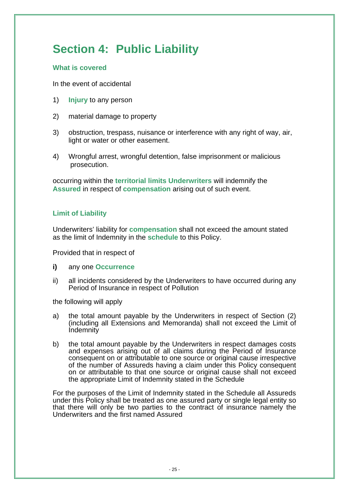# **Section 4: Public Liability**

#### **What is covered**

In the event of accidental

- 1) **Injury** to any person
- 2) material damage to property
- 3) obstruction, trespass, nuisance or interference with any right of way, air, light or water or other easement.
- 4) Wrongful arrest, wrongful detention, false imprisonment or malicious prosecution.

occurring within the **territorial limits Underwriters** will indemnify the **Assured** in respect of **compensation** arising out of such event.

#### **Limit of Liability**

Underwriters' liability for **compensation** shall not exceed the amount stated as the limit of Indemnity in the **schedule** to this Policy.

Provided that in respect of

- **i)** any one **Occurrence**
- ii) all incidents considered by the Underwriters to have occurred during any Period of Insurance in respect of Pollution

the following will apply

- a) the total amount payable by the Underwriters in respect of Section (2) (including all Extensions and Memoranda) shall not exceed the Limit of **Indemnity**
- b) the total amount payable by the Underwriters in respect damages costs and expenses arising out of all claims during the Period of Insurance consequent on or attributable to one source or original cause irrespective of the number of Assureds having a claim under this Policy consequent on or attributable to that one source or original cause shall not exceed the appropriate Limit of Indemnity stated in the Schedule

For the purposes of the Limit of Indemnity stated in the Schedule all Assureds under this Policy shall be treated as one assured party or single legal entity so that there will only be two parties to the contract of insurance namely the Underwriters and the first named Assured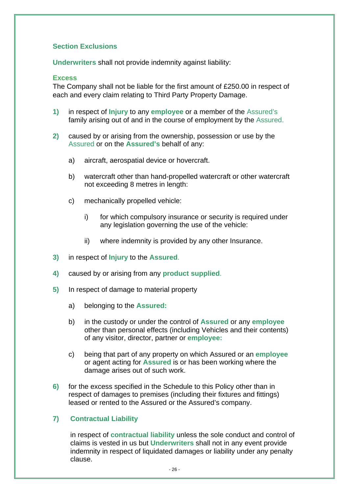#### **Section Exclusions**

**Underwriters** shall not provide indemnity against liability:

#### **Excess**

The Company shall not be liable for the first amount of £250.00 in respect of each and every claim relating to Third Party Property Damage.

- **1)** in respect of **Injury** to any **employee** or a member of the Assured's family arising out of and in the course of employment by the Assured.
- **2)** caused by or arising from the ownership, possession or use by the Assured or on the **Assured's** behalf of any:
	- a) aircraft, aerospatial device or hovercraft.
	- b) watercraft other than hand-propelled watercraft or other watercraft not exceeding 8 metres in length:
	- c) mechanically propelled vehicle:
		- i) for which compulsory insurance or security is required under any legislation governing the use of the vehicle:
		- ii) where indemnity is provided by any other Insurance.
- **3)** in respect of **Injury** to the **Assured**.
- **4)** caused by or arising from any **product supplied**.
- **5)** In respect of damage to material property
	- a) belonging to the **Assured:**
	- b) in the custody or under the control of **Assured** or any **employee** other than personal effects (including Vehicles and their contents) of any visitor, director, partner or **employee:**
	- c) being that part of any property on which Assured or an **employee**  or agent acting for **Assured** is or has been working where the damage arises out of such work.
- **6)** for the excess specified in the Schedule to this Policy other than in respect of damages to premises (including their fixtures and fittings) leased or rented to the Assured or the Assured's company.

#### **7) Contractual Liability**

in respect of **contractual liability** unless the sole conduct and control of claims is vested in us but **Underwriters** shall not in any event provide indemnity in respect of liquidated damages or liability under any penalty clause.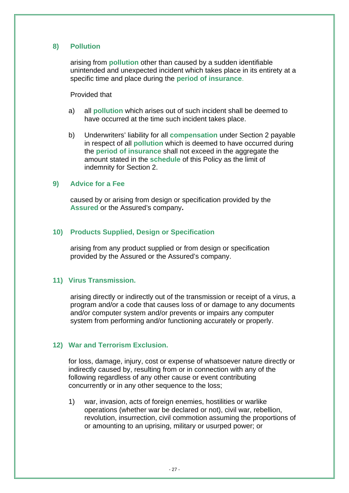#### **8) Pollution**

arising from **pollution** other than caused by a sudden identifiable unintended and unexpected incident which takes place in its entirety at a specific time and place during the **period of insurance**.

#### Provided that

- a) all **pollution** which arises out of such incident shall be deemed to have occurred at the time such incident takes place.
- b) Underwriters' liability for all **compensation** under Section 2 payable in respect of all **pollution** which is deemed to have occurred during the **period of insurance** shall not exceed in the aggregate the amount stated in the **schedule** of this Policy as the limit of indemnity for Section 2.

#### **9) Advice for a Fee**

caused by or arising from design or specification provided by the **Assured** or the Assured's company**.** 

#### **10) Products Supplied, Design or Specification**

arising from any product supplied or from design or specification provided by the Assured or the Assured's company.

#### **11) Virus Transmission.**

arising directly or indirectly out of the transmission or receipt of a virus, a program and/or a code that causes loss of or damage to any documents and/or computer system and/or prevents or impairs any computer system from performing and/or functioning accurately or properly.

#### **12) War and Terrorism Exclusion.**

for loss, damage, injury, cost or expense of whatsoever nature directly or indirectly caused by, resulting from or in connection with any of the following regardless of any other cause or event contributing concurrently or in any other sequence to the loss;

1) war, invasion, acts of foreign enemies, hostilities or warlike operations (whether war be declared or not), civil war, rebellion, revolution, insurrection, civil commotion assuming the proportions of or amounting to an uprising, military or usurped power; or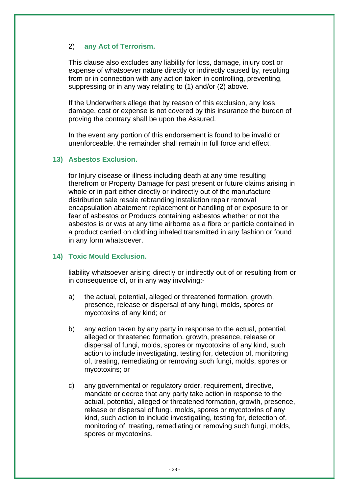#### 2) **any Act of Terrorism.**

This clause also excludes any liability for loss, damage, injury cost or expense of whatsoever nature directly or indirectly caused by, resulting from or in connection with any action taken in controlling, preventing, suppressing or in any way relating to (1) and/or (2) above.

If the Underwriters allege that by reason of this exclusion, any loss, damage, cost or expense is not covered by this insurance the burden of proving the contrary shall be upon the Assured.

In the event any portion of this endorsement is found to be invalid or unenforceable, the remainder shall remain in full force and effect.

#### **13) Asbestos Exclusion.**

for Injury disease or illness including death at any time resulting therefrom or Property Damage for past present or future claims arising in whole or in part either directly or indirectly out of the manufacture distribution sale resale rebranding installation repair removal encapsulation abatement replacement or handling of or exposure to or fear of asbestos or Products containing asbestos whether or not the asbestos is or was at any time airborne as a fibre or particle contained in a product carried on clothing inhaled transmitted in any fashion or found in any form whatsoever.

#### **14) Toxic Mould Exclusion.**

liability whatsoever arising directly or indirectly out of or resulting from or in consequence of, or in any way involving:-

- a) the actual, potential, alleged or threatened formation, growth, presence, release or dispersal of any fungi, molds, spores or mycotoxins of any kind; or
- b) any action taken by any party in response to the actual, potential, alleged or threatened formation, growth, presence, release or dispersal of fungi, molds, spores or mycotoxins of any kind, such action to include investigating, testing for, detection of, monitoring of, treating, remediating or removing such fungi, molds, spores or mycotoxins; or
- c) any governmental or regulatory order, requirement, directive, mandate or decree that any party take action in response to the actual, potential, alleged or threatened formation, growth, presence, release or dispersal of fungi, molds, spores or mycotoxins of any kind, such action to include investigating, testing for, detection of, monitoring of, treating, remediating or removing such fungi, molds, spores or mycotoxins.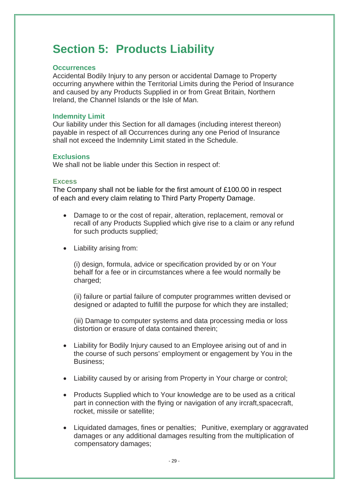# **Section 5: Products Liability**

#### **Occurrences**

Accidental Bodily Injury to any person or accidental Damage to Property occurring anywhere within the Territorial Limits during the Period of Insurance and caused by any Products Supplied in or from Great Britain, Northern Ireland, the Channel Islands or the Isle of Man.

#### **Indemnity Limit**

Our liability under this Section for all damages (including interest thereon) payable in respect of all Occurrences during any one Period of Insurance shall not exceed the Indemnity Limit stated in the Schedule.

#### **Exclusions**

We shall not be liable under this Section in respect of:

#### **Excess**

The Company shall not be liable for the first amount of £100.00 in respect of each and every claim relating to Third Party Property Damage.

- Damage to or the cost of repair, alteration, replacement, removal or recall of any Products Supplied which give rise to a claim or any refund for such products supplied;
- Liability arising from:

(i) design, formula, advice or specification provided by or on Your behalf for a fee or in circumstances where a fee would normally be charged;

(ii) failure or partial failure of computer programmes written devised or designed or adapted to fulfill the purpose for which they are installed;

(iii) Damage to computer systems and data processing media or loss distortion or erasure of data contained therein;

- Liability for Bodily Injury caused to an Employee arising out of and in the course of such persons' employment or engagement by You in the Business;
- Liability caused by or arising from Property in Your charge or control;
- Products Supplied which to Your knowledge are to be used as a critical part in connection with the flying or navigation of any ircraft, spacecraft, rocket, missile or satellite;
- Liquidated damages, fines or penalties; Punitive, exemplary or aggravated damages or any additional damages resulting from the multiplication of compensatory damages;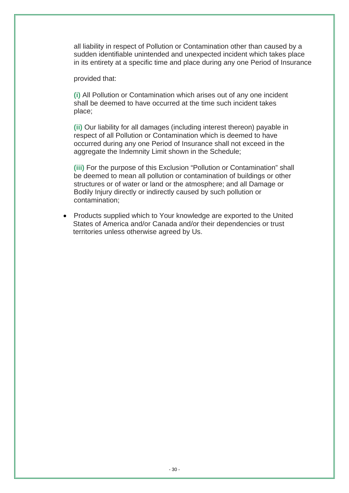all liability in respect of Pollution or Contamination other than caused by a sudden identifiable unintended and unexpected incident which takes place in its entirety at a specific time and place during any one Period of Insurance

provided that:

**(i)** All Pollution or Contamination which arises out of any one incident shall be deemed to have occurred at the time such incident takes place;

**(ii)** Our liability for all damages (including interest thereon) payable in respect of all Pollution or Contamination which is deemed to have occurred during any one Period of Insurance shall not exceed in the aggregate the Indemnity Limit shown in the Schedule;

**(iii)** For the purpose of this Exclusion "Pollution or Contamination" shall be deemed to mean all pollution or contamination of buildings or other structures or of water or land or the atmosphere; and all Damage or Bodily Injury directly or indirectly caused by such pollution or contamination;

 • Products supplied which to Your knowledge are exported to the United States of America and/or Canada and/or their dependencies or trust territories unless otherwise agreed by Us.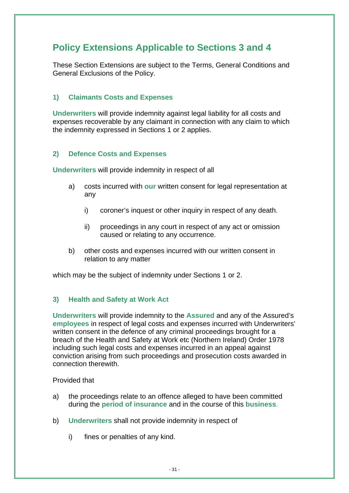### **Policy Extensions Applicable to Sections 3 and 4**

These Section Extensions are subject to the Terms, General Conditions and General Exclusions of the Policy.

#### **1) Claimants Costs and Expenses**

**Underwriters** will provide indemnity against legal liability for all costs and expenses recoverable by any claimant in connection with any claim to which the indemnity expressed in Sections 1 or 2 applies.

#### **2) Defence Costs and Expenses**

**Underwriters** will provide indemnity in respect of all

- a) costs incurred with **our** written consent for legal representation at any
	- i) coroner's inquest or other inquiry in respect of any death.
	- ii) proceedings in any court in respect of any act or omission caused or relating to any occurrence.
- b) other costs and expenses incurred with our written consent in relation to any matter

which may be the subject of indemnity under Sections 1 or 2.

#### **3) Health and Safety at Work Act**

**Underwriters** will provide indemnity to the **Assured** and any of the Assured's **employees** in respect of legal costs and expenses incurred with Underwriters' written consent in the defence of any criminal proceedings brought for a breach of the Health and Safety at Work etc (Northern Ireland) Order 1978 including such legal costs and expenses incurred in an appeal against conviction arising from such proceedings and prosecution costs awarded in connection therewith.

#### Provided that

- a) the proceedings relate to an offence alleged to have been committed during the **period of insurance** and in the course of this **business**.
- b) **Underwriters** shall not provide indemnity in respect of
	- i) fines or penalties of any kind.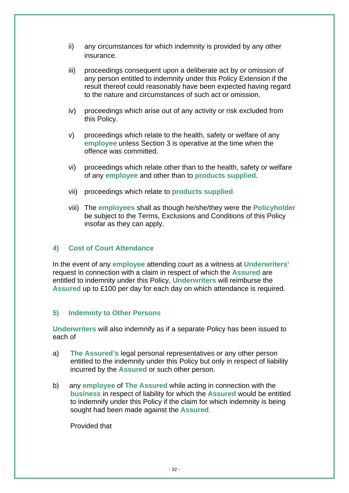- ii) any circumstances for which indemnity is provided by any other insurance.
- iii) proceedings consequent upon a deliberate act by or omission of any person entitled to indemnity under this Policy Extension if the result thereof could reasonably have been expected having regard to the nature and circumstances of such act or omission.
- iv) proceedings which arise out of any activity or risk excluded from this Policy.
- v) proceedings which relate to the health, safety or welfare of any **employee** unless Section 3 is operative at the time when the offence was committed.
- vi) proceedings which relate other than to the health, safety or welfare of any **employee** and other than to **products supplied.**
- vii) proceedings which relate to **products supplied**.
- viii) The **employees** shall as though he/she/they were the **Policyholder** be subject to the Terms, Exclusions and Conditions of this Policy insofar as they can apply.

#### **4) Cost of Court Attendance**

In the event of any **employee** attending court as a witness at **Underwriters'** request in connection with a claim in respect of which the **Assured** are entitled to indemnity under this Policy, **Underwriters** will reimburse the **Assured** up to £100 per day for each day on which attendance is required.

#### **5) Indemnity to Other Persons**

**Underwriters** will also indemnify as if a separate Policy has been issued to each of

- a) **The Assured's** legal personal representatives or any other person entitled to the indemnity under this Policy but only in respect of liability incurred by the **Assured** or such other person.
- b) any **employee** of **The Assured** while acting in connection with the **business** in respect of liability for which the **Assured** would be entitled to indemnify under this Policy if the claim for which indemnity is being sought had been made against the **Assured**.

Provided that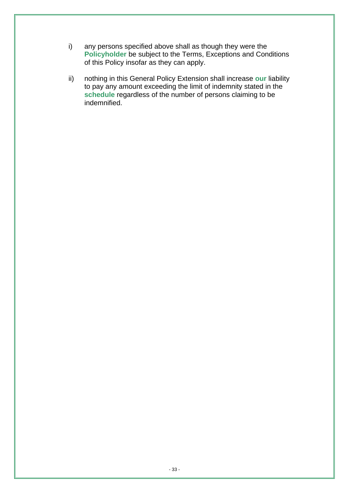- i) any persons specified above shall as though they were the **Policyholder** be subject to the Terms, Exceptions and Conditions of this Policy insofar as they can apply.
- ii) nothing in this General Policy Extension shall increase **our** liability to pay any amount exceeding the limit of indemnity stated in the **schedule** regardless of the number of persons claiming to be indemnified.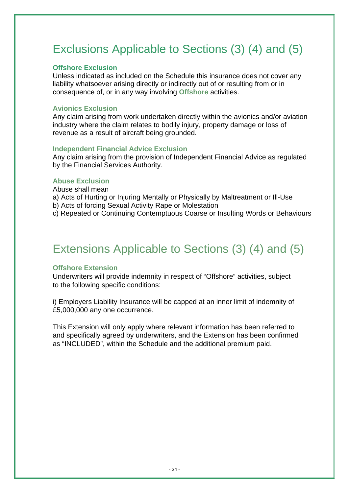# Exclusions Applicable to Sections (3) (4) and (5)

#### **Offshore Exclusion**

Unless indicated as included on the Schedule this insurance does not cover any liability whatsoever arising directly or indirectly out of or resulting from or in consequence of, or in any way involving **Offshore** activities.

#### **Avionics Exclusion**

Any claim arising from work undertaken directly within the avionics and/or aviation industry where the claim relates to bodily injury, property damage or loss of revenue as a result of aircraft being grounded.

#### **Independent Financial Advice Exclusion**

Any claim arising from the provision of Independent Financial Advice as regulated by the Financial Services Authority.

#### **Abuse Exclusion**

Abuse shall mean

- a) Acts of Hurting or Injuring Mentally or Physically by Maltreatment or Ill-Use
- b) Acts of forcing Sexual Activity Rape or Molestation
- c) Repeated or Continuing Contemptuous Coarse or Insulting Words or Behaviours

# Extensions Applicable to Sections (3) (4) and (5)

#### **Offshore Extension**

Underwriters will provide indemnity in respect of "Offshore" activities, subject to the following specific conditions:

i) Employers Liability Insurance will be capped at an inner limit of indemnity of £5,000,000 any one occurrence.

This Extension will only apply where relevant information has been referred to and specifically agreed by underwriters, and the Extension has been confirmed as "INCLUDED", within the Schedule and the additional premium paid.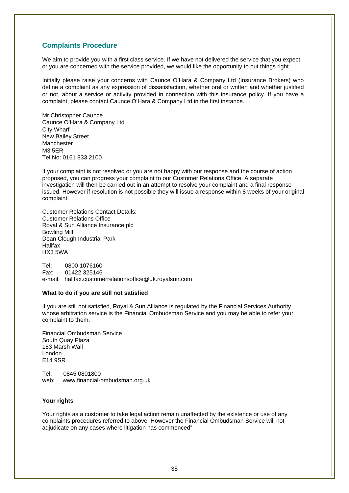#### **Complaints Procedure**

We aim to provide you with a first class service. If we have not delivered the service that you expect or you are concerned with the service provided, we would like the opportunity to put things right.

Initially please raise your concerns with Caunce O'Hara & Company Ltd (Insurance Brokers) who define a complaint as any expression of dissatisfaction, whether oral or written and whether justified or not, about a service or activity provided in connection with this insurance policy. If you have a complaint, please contact Caunce O'Hara & Company Ltd in the first instance.

Mr Christopher Caunce Caunce O'Hara & Company Ltd City Wharf New Bailey Street Manchester M3 5ER Tel No: 0161 833 2100

If your complaint is not resolved or you are not happy with our response and the course of action proposed, you can progress your complaint to our Customer Relations Office. A separate investigation will then be carried out in an attempt to resolve your complaint and a final response issued. However if resolution is not possible they will issue a response within 8 weeks of your original complaint.

Customer Relations Contact Details: Customer Relations Office Royal & Sun Alliance Insurance plc Bowling Mill Dean Clough Industrial Park **Halifax** HX3 5WA

Tel: 0800 1076160 Fax: 01422 325146 e-mail: halifax.customerrelationsoffice@uk.royalsun.com

#### **What to do if you are still not satisfied**

If you are still not satisfied, Royal & Sun Alliance is regulated by the Financial Services Authority whose arbitration service is the Financial Ombudsman Service and you may be able to refer your complaint to them.

Financial Ombudsman Service South Quay Plaza 183 Marsh Wall London E14 9SR

Tel: 0845 0801800 web: www.financial-ombudsman.org.uk

#### **Your rights**

Your rights as a customer to take legal action remain unaffected by the existence or use of any complaints procedures referred to above. However the Financial Ombudsman Service will not adjudicate on any cases where litigation has commenced"